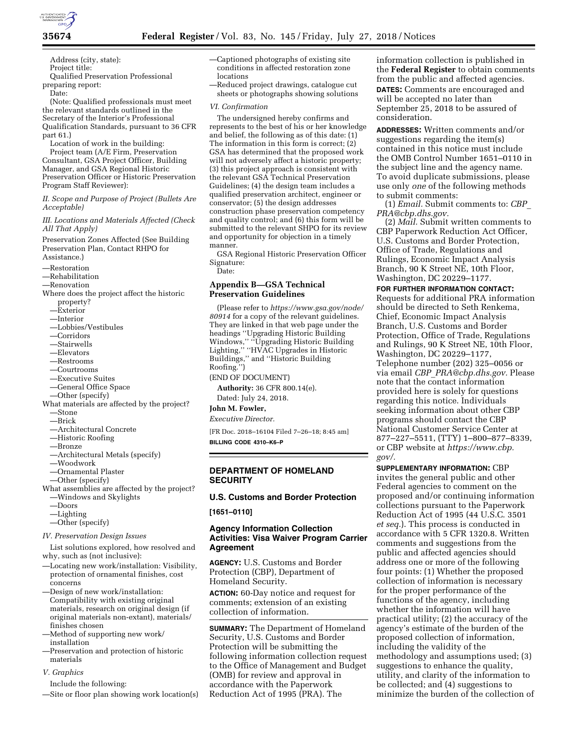

Address (city, state): Project title: Qualified Preservation Professional preparing report:

Date:

(Note: Qualified professionals must meet the relevant standards outlined in the Secretary of the Interior's Professional Qualification Standards, pursuant to 36 CFR part 61.)

Location of work in the building: Project team (A/E Firm, Preservation Consultant, GSA Project Officer, Building Manager, and GSA Regional Historic Preservation Officer or Historic Preservation Program Staff Reviewer):

*II. Scope and Purpose of Project (Bullets Are Acceptable)* 

*III. Locations and Materials Affected (Check All That Apply)* 

Preservation Zones Affected (See Building Preservation Plan, Contact RHPO for Assistance.)

—Restoration

—Rehabilitation

—Renovation

- Where does the project affect the historic property?
	- —Exterior
	- —Interior
	- —Lobbies/Vestibules
	- —Corridors
	- —Stairwells
	- —Elevators
	- —Restrooms
	- —Courtrooms
	- —Executive Suites
	- —General Office Space
	- —Other (specify)

What materials are affected by the project?

- —Stone —Brick
- —Architectural Concrete
- —Historic Roofing
- —Bronze
- —Architectural Metals (specify)
- —Woodwork
- —Ornamental Plaster
- —Other (specify)

What assemblies are affected by the project? —Windows and Skylights

- —Doors
- —Lighting
- —Other (specify)

*IV. Preservation Design Issues* 

List solutions explored, how resolved and why, such as (not inclusive):

- —Locating new work/installation: Visibility, protection of ornamental finishes, cost concerns
- —Design of new work/installation: Compatibility with existing original materials, research on original design (if original materials non-extant), materials/ finishes chosen
- —Method of supporting new work/ installation
- —Preservation and protection of historic materials
- *V. Graphics*
- Include the following:
- —Site or floor plan showing work location(s)
- —Captioned photographs of existing site conditions in affected restoration zone locations
- —Reduced project drawings, catalogue cut sheets or photographs showing solutions

#### *VI. Confirmation*

The undersigned hereby confirms and represents to the best of his or her knowledge and belief, the following as of this date: (1) The information in this form is correct; (2) GSA has determined that the proposed work will not adversely affect a historic property; (3) this project approach is consistent with the relevant GSA Technical Preservation Guidelines; (4) the design team includes a qualified preservation architect, engineer or conservator; (5) the design addresses construction phase preservation competency and quality control; and (6) this form will be submitted to the relevant SHPO for its review and opportunity for objection in a timely manner.

GSA Regional Historic Preservation Officer Signature:

Date:

## **Appendix B—GSA Technical Preservation Guidelines**

(Please refer to *[https://www.gsa.gov/node/](https://www.gsa.gov/node/80914) [80914](https://www.gsa.gov/node/80914)* for a copy of the relevant guidelines. They are linked in that web page under the headings ''Upgrading Historic Building Windows,'' ''Upgrading Historic Building Lighting,'' ''HVAC Upgrades in Historic Buildings,'' and ''Historic Building Roofing.'')

## (END OF DOCUMENT)

**Authority:** 36 CFR 800.14(e). Dated: July 24, 2018.

**John M. Fowler,** 

#### *Executive Director.*

[FR Doc. 2018–16104 Filed 7–26–18; 8:45 am]

**BILLING CODE 4310–K6–P** 

## **DEPARTMENT OF HOMELAND SECURITY**

### **U.S. Customs and Border Protection**

**[1651–0110]** 

## **Agency Information Collection Activities: Visa Waiver Program Carrier Agreement**

**AGENCY:** U.S. Customs and Border Protection (CBP), Department of Homeland Security.

**ACTION:** 60-Day notice and request for comments; extension of an existing collection of information.

**SUMMARY:** The Department of Homeland Security, U.S. Customs and Border Protection will be submitting the following information collection request to the Office of Management and Budget (OMB) for review and approval in accordance with the Paperwork Reduction Act of 1995 (PRA). The

information collection is published in the **Federal Register** to obtain comments from the public and affected agencies. **DATES:** Comments are encouraged and will be accepted no later than September 25, 2018 to be assured of consideration.

**ADDRESSES:** Written comments and/or suggestions regarding the item(s) contained in this notice must include the OMB Control Number 1651–0110 in the subject line and the agency name. To avoid duplicate submissions, please use only *one* of the following methods to submit comments:

(1) *Email.* Submit comments to: *[CBP](mailto:CBP_PRA@cbp.dhs.gov)*\_ *[PRA@cbp.dhs.gov.](mailto:CBP_PRA@cbp.dhs.gov)* 

(2) *Mail.* Submit written comments to CBP Paperwork Reduction Act Officer, U.S. Customs and Border Protection, Office of Trade, Regulations and Rulings, Economic Impact Analysis Branch, 90 K Street NE, 10th Floor, Washington, DC 20229–1177.

**FOR FURTHER INFORMATION CONTACT:**  Requests for additional PRA information should be directed to Seth Renkema, Chief, Economic Impact Analysis Branch, U.S. Customs and Border Protection, Office of Trade, Regulations and Rulings, 90 K Street NE, 10th Floor, Washington, DC 20229–1177, Telephone number (202) 325–0056 or via email *CBP*\_*[PRA@cbp.dhs.gov.](mailto:CBP_PRA@cbp.dhs.gov)* Please note that the contact information provided here is solely for questions regarding this notice. Individuals seeking information about other CBP programs should contact the CBP National Customer Service Center at 877–227–5511, (TTY) 1–800–877–8339, or CBP website at *[https://www.cbp.](https://www.cbp.gov/)  [gov/.](https://www.cbp.gov/)* 

**SUPPLEMENTARY INFORMATION:** CBP invites the general public and other Federal agencies to comment on the proposed and/or continuing information collections pursuant to the Paperwork Reduction Act of 1995 (44 U.S.C. 3501 *et seq.*). This process is conducted in accordance with 5 CFR 1320.8. Written comments and suggestions from the public and affected agencies should address one or more of the following four points: (1) Whether the proposed collection of information is necessary for the proper performance of the functions of the agency, including whether the information will have practical utility; (2) the accuracy of the agency's estimate of the burden of the proposed collection of information, including the validity of the methodology and assumptions used; (3) suggestions to enhance the quality, utility, and clarity of the information to be collected; and (4) suggestions to minimize the burden of the collection of